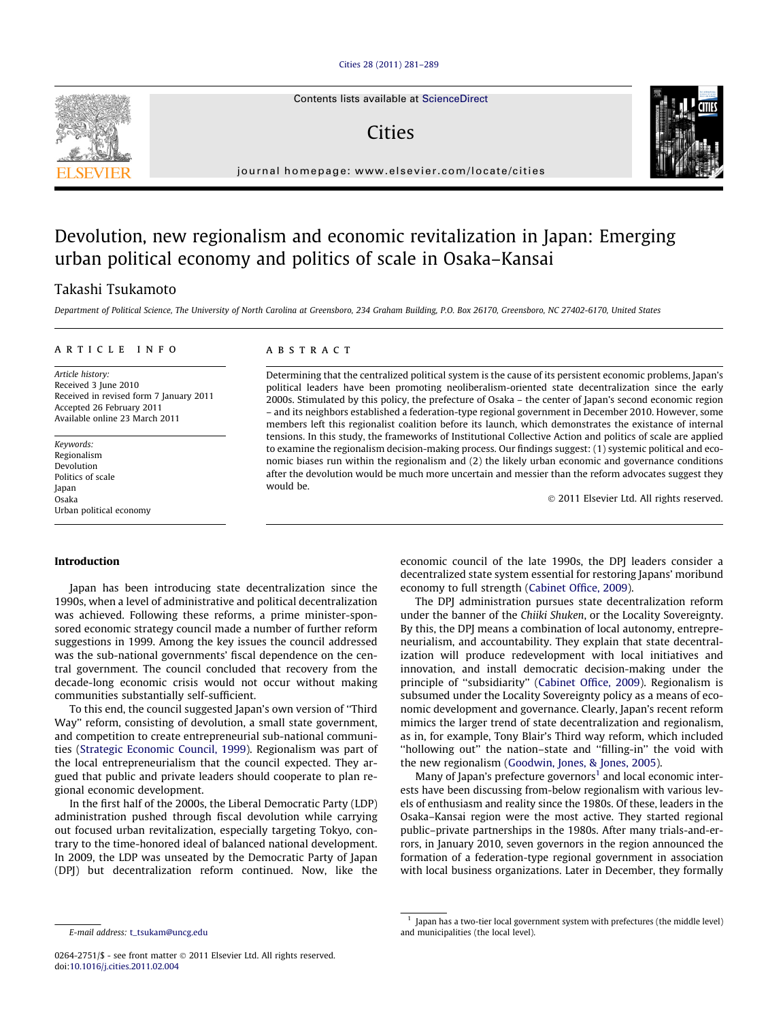#### [Cities 28 \(2011\) 281–289](http://dx.doi.org/10.1016/j.cities.2011.02.004)

Contents lists available at [ScienceDirect](http://www.sciencedirect.com/science/journal/02642751)

## **Cities**

journal homepage: [www.elsevier.com/locate/cities](http://www.elsevier.com/locate/cities)

## Devolution, new regionalism and economic revitalization in Japan: Emerging urban political economy and politics of scale in Osaka–Kansai

### Takashi Tsukamoto

Department of Political Science, The University of North Carolina at Greensboro, 234 Graham Building, P.O. Box 26170, Greensboro, NC 27402-6170, United States

#### article info

Article history: Received 3 June 2010 Received in revised form 7 January 2011 Accepted 26 February 2011 Available online 23 March 2011

Keywords: Regionalism Devolution Politics of scale Japan Osaka Urban political economy

#### **ABSTRACT**

Determining that the centralized political system is the cause of its persistent economic problems, Japan's political leaders have been promoting neoliberalism-oriented state decentralization since the early 2000s. Stimulated by this policy, the prefecture of Osaka – the center of Japan's second economic region – and its neighbors established a federation-type regional government in December 2010. However, some members left this regionalist coalition before its launch, which demonstrates the existance of internal tensions. In this study, the frameworks of Institutional Collective Action and politics of scale are applied to examine the regionalism decision-making process. Our findings suggest: (1) systemic political and economic biases run within the regionalism and (2) the likely urban economic and governance conditions after the devolution would be much more uncertain and messier than the reform advocates suggest they would be.

- 2011 Elsevier Ltd. All rights reserved.

#### Introduction

Japan has been introducing state decentralization since the 1990s, when a level of administrative and political decentralization was achieved. Following these reforms, a prime minister-sponsored economic strategy council made a number of further reform suggestions in 1999. Among the key issues the council addressed was the sub-national governments' fiscal dependence on the central government. The council concluded that recovery from the decade-long economic crisis would not occur without making communities substantially self-sufficient.

To this end, the council suggested Japan's own version of ''Third Way'' reform, consisting of devolution, a small state government, and competition to create entrepreneurial sub-national communities [\(Strategic Economic Council, 1999](#page--1-0)). Regionalism was part of the local entrepreneurialism that the council expected. They argued that public and private leaders should cooperate to plan regional economic development.

In the first half of the 2000s, the Liberal Democratic Party (LDP) administration pushed through fiscal devolution while carrying out focused urban revitalization, especially targeting Tokyo, contrary to the time-honored ideal of balanced national development. In 2009, the LDP was unseated by the Democratic Party of Japan (DPJ) but decentralization reform continued. Now, like the



The DPJ administration pursues state decentralization reform under the banner of the Chiiki Shuken, or the Locality Sovereignty. By this, the DPJ means a combination of local autonomy, entrepreneurialism, and accountability. They explain that state decentralization will produce redevelopment with local initiatives and innovation, and install democratic decision-making under the principle of ''subsidiarity'' ([Cabinet Office, 2009\)](#page--1-0). Regionalism is subsumed under the Locality Sovereignty policy as a means of economic development and governance. Clearly, Japan's recent reform mimics the larger trend of state decentralization and regionalism, as in, for example, Tony Blair's Third way reform, which included "hollowing out" the nation-state and "filling-in" the void with the new regionalism [\(Goodwin, Jones, & Jones, 2005](#page--1-0)).

Many of Japan's prefecture governors<sup>1</sup> and local economic interests have been discussing from-below regionalism with various levels of enthusiasm and reality since the 1980s. Of these, leaders in the Osaka–Kansai region were the most active. They started regional public–private partnerships in the 1980s. After many trials-and-errors, in January 2010, seven governors in the region announced the formation of a federation-type regional government in association with local business organizations. Later in December, they formally





E-mail address: [t\\_tsukam@uncg.edu](mailto:t_tsukam@uncg.edu)

 $1$  Japan has a two-tier local government system with prefectures (the middle level) and municipalities (the local level).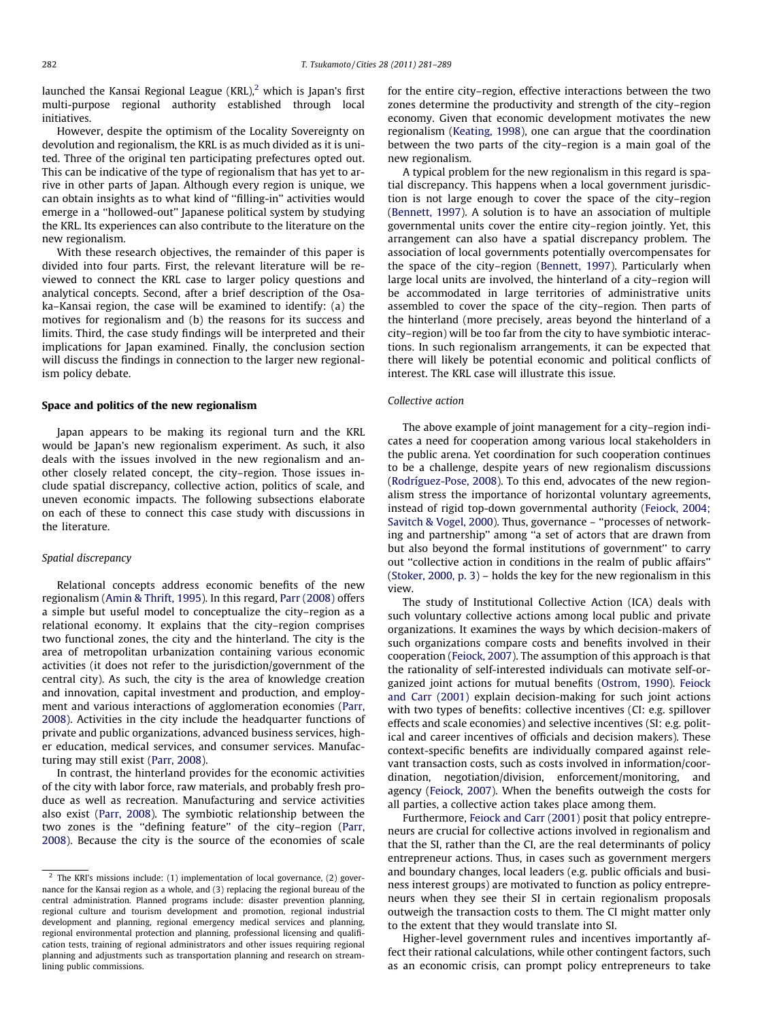launched the Kansai Regional League  $(KRL)^2$  which is Japan's first multi-purpose regional authority established through local initiatives.

However, despite the optimism of the Locality Sovereignty on devolution and regionalism, the KRL is as much divided as it is united. Three of the original ten participating prefectures opted out. This can be indicative of the type of regionalism that has yet to arrive in other parts of Japan. Although every region is unique, we can obtain insights as to what kind of ''filling-in'' activities would emerge in a ''hollowed-out'' Japanese political system by studying the KRL. Its experiences can also contribute to the literature on the new regionalism.

With these research objectives, the remainder of this paper is divided into four parts. First, the relevant literature will be reviewed to connect the KRL case to larger policy questions and analytical concepts. Second, after a brief description of the Osaka–Kansai region, the case will be examined to identify: (a) the motives for regionalism and (b) the reasons for its success and limits. Third, the case study findings will be interpreted and their implications for Japan examined. Finally, the conclusion section will discuss the findings in connection to the larger new regionalism policy debate.

#### Space and politics of the new regionalism

Japan appears to be making its regional turn and the KRL would be Japan's new regionalism experiment. As such, it also deals with the issues involved in the new regionalism and another closely related concept, the city–region. Those issues include spatial discrepancy, collective action, politics of scale, and uneven economic impacts. The following subsections elaborate on each of these to connect this case study with discussions in the literature.

#### Spatial discrepancy

Relational concepts address economic benefits of the new regionalism [\(Amin & Thrift, 1995\)](#page--1-0). In this regard, [Parr \(2008\)](#page--1-0) offers a simple but useful model to conceptualize the city–region as a relational economy. It explains that the city–region comprises two functional zones, the city and the hinterland. The city is the area of metropolitan urbanization containing various economic activities (it does not refer to the jurisdiction/government of the central city). As such, the city is the area of knowledge creation and innovation, capital investment and production, and employment and various interactions of agglomeration economies [\(Parr,](#page--1-0) [2008\)](#page--1-0). Activities in the city include the headquarter functions of private and public organizations, advanced business services, higher education, medical services, and consumer services. Manufacturing may still exist ([Parr, 2008\)](#page--1-0).

In contrast, the hinterland provides for the economic activities of the city with labor force, raw materials, and probably fresh produce as well as recreation. Manufacturing and service activities also exist ([Parr, 2008](#page--1-0)). The symbiotic relationship between the two zones is the ''defining feature'' of the city–region [\(Parr,](#page--1-0) [2008\)](#page--1-0). Because the city is the source of the economies of scale for the entire city–region, effective interactions between the two zones determine the productivity and strength of the city–region economy. Given that economic development motivates the new regionalism [\(Keating, 1998](#page--1-0)), one can argue that the coordination between the two parts of the city–region is a main goal of the new regionalism.

A typical problem for the new regionalism in this regard is spatial discrepancy. This happens when a local government jurisdiction is not large enough to cover the space of the city–region ([Bennett, 1997\)](#page--1-0). A solution is to have an association of multiple governmental units cover the entire city–region jointly. Yet, this arrangement can also have a spatial discrepancy problem. The association of local governments potentially overcompensates for the space of the city–region ([Bennett, 1997](#page--1-0)). Particularly when large local units are involved, the hinterland of a city–region will be accommodated in large territories of administrative units assembled to cover the space of the city–region. Then parts of the hinterland (more precisely, areas beyond the hinterland of a city–region) will be too far from the city to have symbiotic interactions. In such regionalism arrangements, it can be expected that there will likely be potential economic and political conflicts of interest. The KRL case will illustrate this issue.

#### Collective action

The above example of joint management for a city–region indicates a need for cooperation among various local stakeholders in the public arena. Yet coordination for such cooperation continues to be a challenge, despite years of new regionalism discussions ([Rodríguez-Pose, 2008\)](#page--1-0). To this end, advocates of the new regionalism stress the importance of horizontal voluntary agreements, instead of rigid top-down governmental authority ([Feiock, 2004;](#page--1-0) [Savitch & Vogel, 2000\)](#page--1-0). Thus, governance – ''processes of networking and partnership'' among ''a set of actors that are drawn from but also beyond the formal institutions of government'' to carry out ''collective action in conditions in the realm of public affairs'' ([Stoker, 2000, p. 3](#page--1-0)) – holds the key for the new regionalism in this view.

The study of Institutional Collective Action (ICA) deals with such voluntary collective actions among local public and private organizations. It examines the ways by which decision-makers of such organizations compare costs and benefits involved in their cooperation ([Feiock, 2007](#page--1-0)). The assumption of this approach is that the rationality of self-interested individuals can motivate self-organized joint actions for mutual benefits ([Ostrom, 1990](#page--1-0)). [Feiock](#page--1-0) [and Carr \(2001\)](#page--1-0) explain decision-making for such joint actions with two types of benefits: collective incentives (CI: e.g. spillover effects and scale economies) and selective incentives (SI: e.g. political and career incentives of officials and decision makers). These context-specific benefits are individually compared against relevant transaction costs, such as costs involved in information/coordination, negotiation/division, enforcement/monitoring, and agency [\(Feiock, 2007](#page--1-0)). When the benefits outweigh the costs for all parties, a collective action takes place among them.

Furthermore, [Feiock and Carr \(2001\)](#page--1-0) posit that policy entrepreneurs are crucial for collective actions involved in regionalism and that the SI, rather than the CI, are the real determinants of policy entrepreneur actions. Thus, in cases such as government mergers and boundary changes, local leaders (e.g. public officials and business interest groups) are motivated to function as policy entrepreneurs when they see their SI in certain regionalism proposals outweigh the transaction costs to them. The CI might matter only to the extent that they would translate into SI.

Higher-level government rules and incentives importantly affect their rational calculations, while other contingent factors, such as an economic crisis, can prompt policy entrepreneurs to take

 $2$  The KRI's missions include: (1) implementation of local governance, (2) governance for the Kansai region as a whole, and (3) replacing the regional bureau of the central administration. Planned programs include: disaster prevention planning, regional culture and tourism development and promotion, regional industrial development and planning, regional emergency medical services and planning, regional environmental protection and planning, professional licensing and qualification tests, training of regional administrators and other issues requiring regional planning and adjustments such as transportation planning and research on streamlining public commissions.